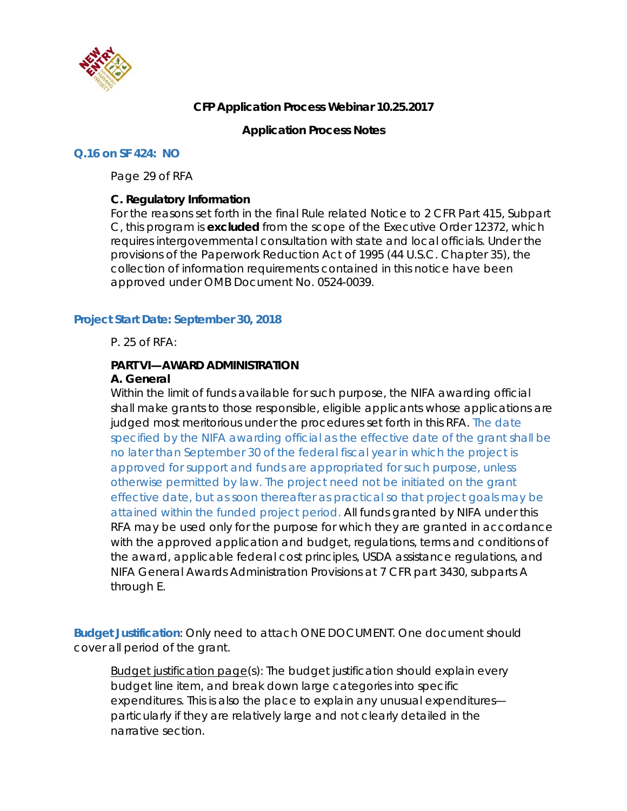

# **CFP Application Process Webinar 10.25.2017**

## **Application Process Notes**

#### **Q.16 on SF 424: NO**

Page 29 of RFA

#### **C. Regulatory Information**

For the reasons set forth in the final Rule related Notice to 2 CFR Part 415, Subpart C, this program is **excluded** from the scope of the Executive Order 12372, which requires intergovernmental consultation with state and local officials. Under the provisions of the Paperwork Reduction Act of 1995 (44 U.S.C. Chapter 35), the collection of information requirements contained in this notice have been approved under OMB Document No. 0524-0039.

#### **Project Start Date: September 30, 2018**

P. 25 of RFA:

# **PART VI—AWARD ADMINISTRATION**

## **A. General**

Within the limit of funds available for such purpose, the NIFA awarding official shall make grants to those responsible, eligible applicants whose applications are judged most meritorious under the procedures set forth in this RFA. The date specified by the NIFA awarding official as the effective date of the grant shall be no later than September 30 of the federal fiscal year in which the project is approved for support and funds are appropriated for such purpose, unless otherwise permitted by law. The project need not be initiated on the grant effective date, but as soon thereafter as practical so that project goals may be attained within the funded project period. All funds granted by NIFA under this RFA may be used only for the purpose for which they are granted in accordance with the approved application and budget, regulations, terms and conditions of the award, applicable federal cost principles, USDA assistance regulations, and NIFA General Awards Administration Provisions at 7 CFR part 3430, subparts A through E.

**Budget Justification**: Only need to attach ONE DOCUMENT. One document should cover all period of the grant.

Budget justification page(s): The budget justification should explain every budget line item, and break down large categories into specific expenditures. This is also the place to explain any unusual expenditures particularly if they are relatively large and not clearly detailed in the narrative section.